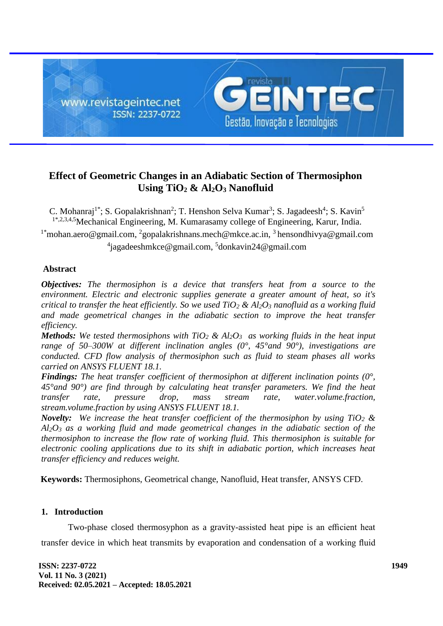

# **Effect of Geometric Changes in an Adiabatic Section of Thermosiphon Using TiO<sup>2</sup> & Al2O<sup>3</sup> Nanofluid**

C. Mohanraj<sup>1\*</sup>; S. Gopalakrishnan<sup>2</sup>; T. Henshon Selva Kumar<sup>3</sup>; S. Jagadeesh<sup>4</sup>; S. Kavin<sup>5</sup> 1\*,2,3,4,5Mechanical Engineering, M. Kumarasamy college of Engineering, Karur, India. <sup>1\*</sup>[mohan.aero@gmail.com,](mailto:1*mohan.aero@gmail.com) <sup>2</sup>[gopalakrishnans.mech@mkce.ac.in,](mailto:2gopalakrishnans.mech@mkce.ac.in) <sup>3</sup>hensondhivya@gmail.com

<sup>4</sup>[jagadeeshmkce@gmail.com,](mailto:4jagadeeshmkce@gmail.com) <sup>5</sup>donkavin24@gmail.com

# **Abstract**

*Objectives: The thermosiphon is a device that transfers heat from a source to the environment. Electric and electronic supplies generate a greater amount of heat, so it's critical to transfer the heat efficiently. So we used TiO<sup>2</sup> & Al2O<sup>3</sup> nanofluid as a working fluid and made geometrical changes in the adiabatic section to improve the heat transfer efficiency.*

*Methods: We tested thermosiphons with TiO<sup>2</sup> & Al2O<sup>3</sup> as working fluids in the heat input range of 50–300W at different inclination angles (0°, 45°and 90°), investigations are conducted. CFD flow analysis of thermosiphon such as fluid to steam phases all works carried on ANSYS FLUENT 18.1.*

*Findings: The heat transfer coefficient of thermosiphon at different inclination points (0°, 45°and 90°) are find through by calculating heat transfer parameters. We find the heat transfer rate, pressure drop, mass stream rate, water.volume.fraction, stream.volume.fraction by using ANSYS FLUENT 18.1.* 

*Novelty: We increase the heat transfer coefficient of the thermosiphon by using TiO<sup>2</sup> & Al2O<sup>3</sup> as a working fluid and made geometrical changes in the adiabatic section of the thermosiphon to increase the flow rate of working fluid. This thermosiphon is suitable for electronic cooling applications due to its shift in adiabatic portion, which increases heat transfer efficiency and reduces weight.*

 **Keywords:** Thermosiphons, Geometrical change, Nanofluid, Heat transfer, ANSYS CFD.

## **1. Introduction**

Two-phase closed thermosyphon as a gravity-assisted heat pipe is an efficient heat transfer device in which heat transmits by evaporation and condensation of a working fluid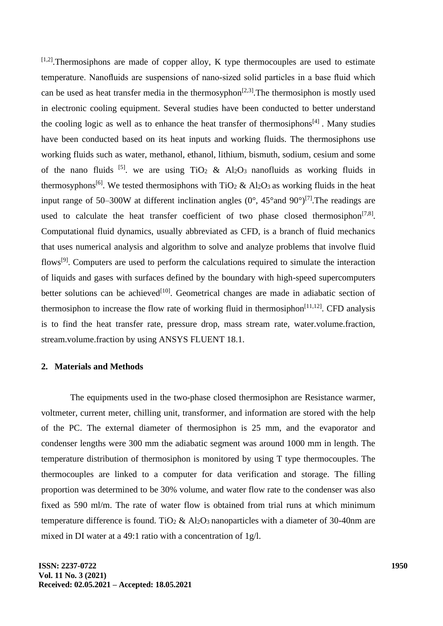$[1,2]$ . Thermosiphons are made of copper alloy, K type thermocouples are used to estimate temperature. Nanofluids are suspensions of nano-sized solid particles in a base fluid which can be used as heat transfer media in the thermosyphon<sup>[2,3]</sup>. The thermosiphon is mostly used in electronic cooling equipment. Several studies have been conducted to better understand the cooling logic as well as to enhance the heat transfer of thermosiphons $[4]$ . Many studies have been conducted based on its heat inputs and working fluids. The thermosiphons use working fluids such as water, methanol, ethanol, lithium, bismuth, sodium, cesium and some of the nano fluids <sup>[5]</sup>. we are using TiO<sub>2</sub> & Al<sub>2</sub>O<sub>3</sub> nanofluids as working fluids in thermosyphons<sup>[6]</sup>. We tested thermosiphons with TiO<sub>2</sub> & Al<sub>2</sub>O<sub>3</sub> as working fluids in the heat input range of 50–300W at different inclination angles  $(0^{\circ}, 45^{\circ}$  and  $90^{\circ})^{[7]}$ . The readings are used to calculate the heat transfer coefficient of two phase closed thermosiphon<sup>[7,8]</sup>. Computational fluid dynamics, usually abbreviated as CFD, is a branch of fluid mechanics that uses numerical analysis and algorithm to solve and analyze problems that involve fluid flows<sup>[9]</sup>. Computers are used to perform the calculations required to simulate the interaction of liquids and gases with surfaces defined by the boundary with high-speed supercomputers better solutions can be achieved<sup>[10]</sup>. Geometrical changes are made in adiabatic section of thermosiphon to increase the flow rate of working fluid in thermosiphon $[11,12]$ . CFD analysis is to find the heat transfer rate, pressure drop, mass stream rate, water.volume.fraction, stream.volume.fraction by using ANSYS FLUENT 18.1.

### **2. Materials and Methods**

The equipments used in the two-phase closed thermosiphon are Resistance warmer, voltmeter, current meter, chilling unit, transformer, and information are stored with the help of the PC. The external diameter of thermosiphon is 25 mm, and the evaporator and condenser lengths were 300 mm the adiabatic segment was around 1000 mm in length. The temperature distribution of thermosiphon is monitored by using T type thermocouples. The thermocouples are linked to a computer for data verification and storage. The filling proportion was determined to be 30% volume, and water flow rate to the condenser was also fixed as 590 ml/m. The rate of water flow is obtained from trial runs at which minimum temperature difference is found. TiO<sub>2</sub> & Al<sub>2</sub>O<sub>3</sub> nanoparticles with a diameter of 30-40nm are mixed in DI water at a 49:1 ratio with a concentration of 1g/l.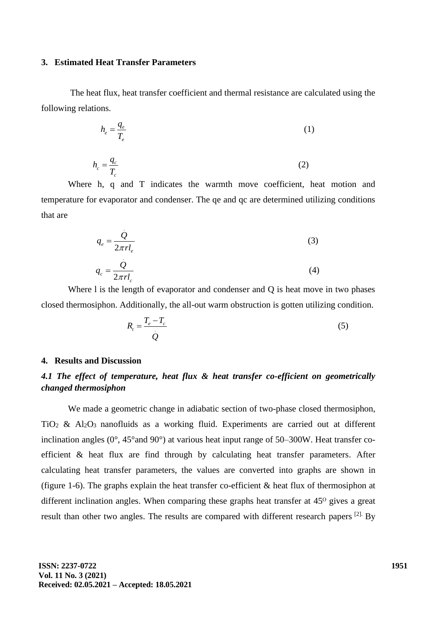### **3. Estimated Heat Transfer Parameters**

.

The heat flux, heat transfer coefficient and thermal resistance are calculated using the following relations.

$$
h_e = \frac{q_e}{T_e} \tag{1}
$$

$$
h_c = \frac{q_c}{T_c} \tag{2}
$$

Where h, q and T indicates the warmth move coefficient, heat motion and temperature for evaporator and condenser. The qe and qc are determined utilizing conditions that are

$$
q_e = \frac{Q}{2\pi r l_e}
$$
\n
$$
q_c = \frac{Q}{2\pi r l_c}
$$
\n(3)

Where 1 is the length of evaporator and condenser and Q is heat move in two phases closed thermosiphon. Additionally, the all-out warm obstruction is gotten utilizing condition.

$$
R_t = \frac{T_e - T_c}{Q} \tag{5}
$$

#### **4. Results and Discussion**

# *4.1 The effect of temperature, heat flux & heat transfer co-efficient on geometrically changed thermosiphon*

We made a geometric change in adiabatic section of two-phase closed thermosiphon,  $TiO<sub>2</sub>$  & Al<sub>2</sub>O<sub>3</sub> nanofluids as a working fluid. Experiments are carried out at different inclination angles  $(0^{\circ}, 45^{\circ})$  at various heat input range of  $50-300W$ . Heat transfer coefficient & heat flux are find through by calculating heat transfer parameters. After calculating heat transfer parameters, the values are converted into graphs are shown in (figure 1-6). The graphs explain the heat transfer co-efficient & heat flux of thermosiphon at different inclination angles. When comparing these graphs heat transfer at  $45<sup>o</sup>$  gives a great result than other two angles. The results are compared with different research papers [2]. By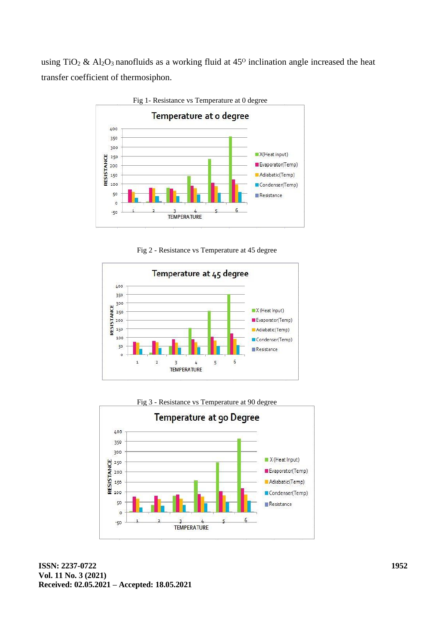using TiO<sub>2</sub> & Al<sub>2</sub>O<sub>3</sub> nanofluids as a working fluid at  $45^{\circ}$  inclination angle increased the heat transfer coefficient of thermosiphon.



Fig 2 - Resistance vs Temperature at 45 degree





**ISSN: 2237-0722 Vol. 11 No. 3 (2021) Received: 02.05.2021 – Accepted: 18.05.2021**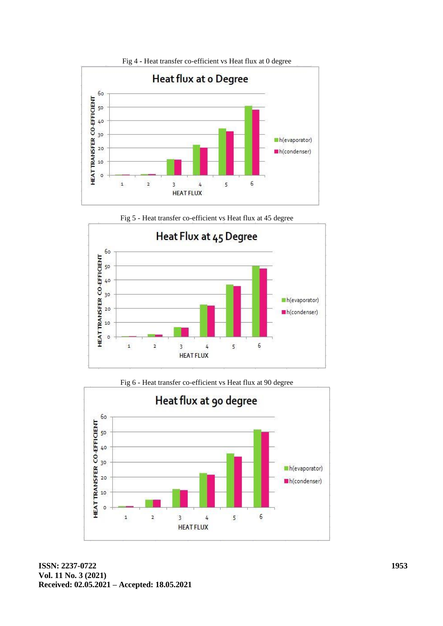

Fig 5 - Heat transfer co-efficient vs Heat flux at 45 degree



Fig 6 - Heat transfer co-efficient vs Heat flux at 90 degree



**ISSN: 2237-0722 Vol. 11 No. 3 (2021) Received: 02.05.2021 – Accepted: 18.05.2021**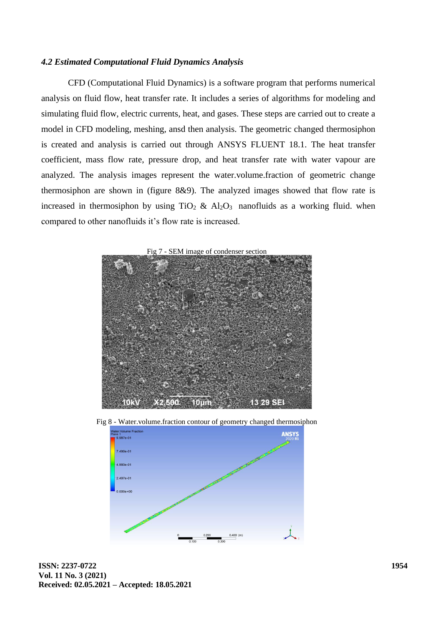### *4.2 Estimated Computational Fluid Dynamics Analysis*

CFD (Computational Fluid Dynamics) is a software program that performs numerical analysis on fluid flow, heat transfer rate. It includes a series of algorithms for modeling and simulating fluid flow, electric currents, heat, and gases. These steps are carried out to create a model in CFD modeling, meshing, ansd then analysis. The geometric changed thermosiphon is created and analysis is carried out through ANSYS FLUENT 18.1. The heat transfer coefficient, mass flow rate, pressure drop, and heat transfer rate with water vapour are analyzed. The analysis images represent the water.volume.fraction of geometric change thermosiphon are shown in (figure 8&9). The analyzed images showed that flow rate is increased in thermosiphon by using  $TiO<sub>2</sub> \& Al<sub>2</sub>O<sub>3</sub>$  nanofluids as a working fluid. when compared to other nanofluids it's flow rate is increased.





Fig 8 - Water.volume.fraction contour of geometry changed thermosiphon

**ISSN: 2237-0722 Vol. 11 No. 3 (2021) Received: 02.05.2021 – Accepted: 18.05.2021**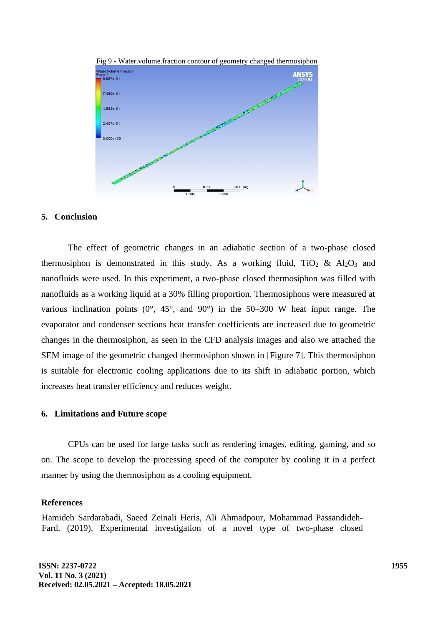

Fig 9 - Water.volume.fraction contour of geometry changed thermosiphon

### **5. Conclusion**

The effect of geometric changes in an adiabatic section of a two-phase closed thermosiphon is demonstrated in this study. As a working fluid, TiO<sub>2</sub> & Al<sub>2</sub>O<sub>3</sub> and nanofluids were used. In this experiment, a two-phase closed thermosiphon was filled with nanofluids as a working liquid at a 30% filling proportion. Thermosiphons were measured at various inclination points  $(0^{\circ}, 45^{\circ},$  and  $90^{\circ})$  in the 50–300 W heat input range. The evaporator and condenser sections heat transfer coefficients are increased due to geometric changes in the thermosiphon, as seen in the CFD analysis images and also we attached the SEM image of the geometric changed thermosiphon shown in [Figure 7]. This thermosiphon is suitable for electronic cooling applications due to its shift in adiabatic portion, which increases heat transfer efficiency and reduces weight.

### **6. Limitations and Future scope**

CPUs can be used for large tasks such as rendering images, editing, gaming, and so on. The scope to develop the processing speed of the computer by cooling it in a perfect manner by using the thermosiphon as a cooling equipment.

#### **References**

Hamideh Sardarabadi, Saeed Zeinali Heris, Ali Ahmadpour, Mohammad Passandideh-Fard. (2019). Experimental investigation of a novel type of two-phase closed